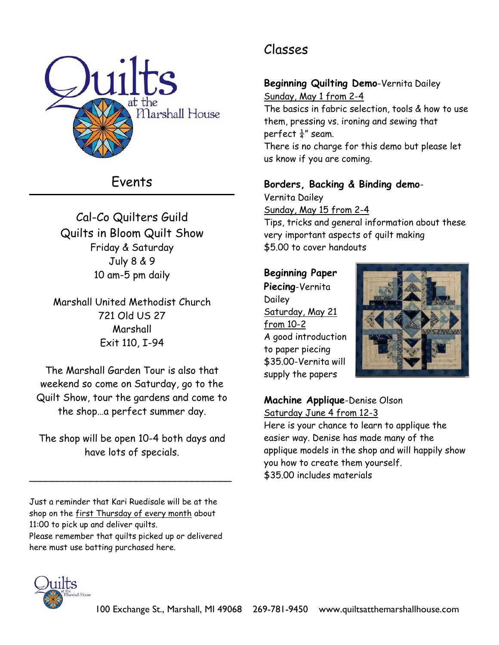

# Events

Cal-Co Quilters Guild Quilts in Bloom Quilt Show Friday & Saturday July 8 & 9 10 am-5 pm daily

Marshall United Methodist Church 721 Old US 27 Marshall Exit 110, I-94

The Marshall Garden Tour is also that weekend so come on Saturday, go to the Quilt Show, tour the gardens and come to the shop…a perfect summer day.

The shop will be open 10-4 both days and have lots of specials.

\_\_\_\_\_\_\_\_\_\_\_\_\_\_\_\_\_\_\_\_\_\_\_\_\_\_\_\_\_\_\_\_\_\_\_\_

Just a reminder that Kari Ruedisale will be at the shop on the first Thursday of every month about 11:00 to pick up and deliver quilts. Please remember that quilts picked up or delivered here must use batting purchased here.

# Classes

# **Beginning Quilting Demo**-Vernita Dailey

Sunday, May 1 from 2-4 The basics in fabric selection, tools & how to use them, pressing vs. ironing and sewing that perfect  $\frac{1}{4}$ " seam. There is no charge for this demo but please let us know if you are coming.

# **Borders, Backing & Binding demo**-

Vernita Dailey Sunday, May 15 from 2-4 Tips, tricks and general information about these very important aspects of quilt making \$5.00 to cover handouts

# **Beginning Paper**

**Piecing**-Vernita **Dailey** Saturday, May 21 from 10-2 A good introduction to paper piecing \$35.00-Vernita will supply the papers



#### **Machine Applique**-Denise Olson Saturday June 4 from 12-3

Here is your chance to learn to applique the easier way. Denise has made many of the applique models in the shop and will happily show you how to create them yourself. \$35.00 includes materials